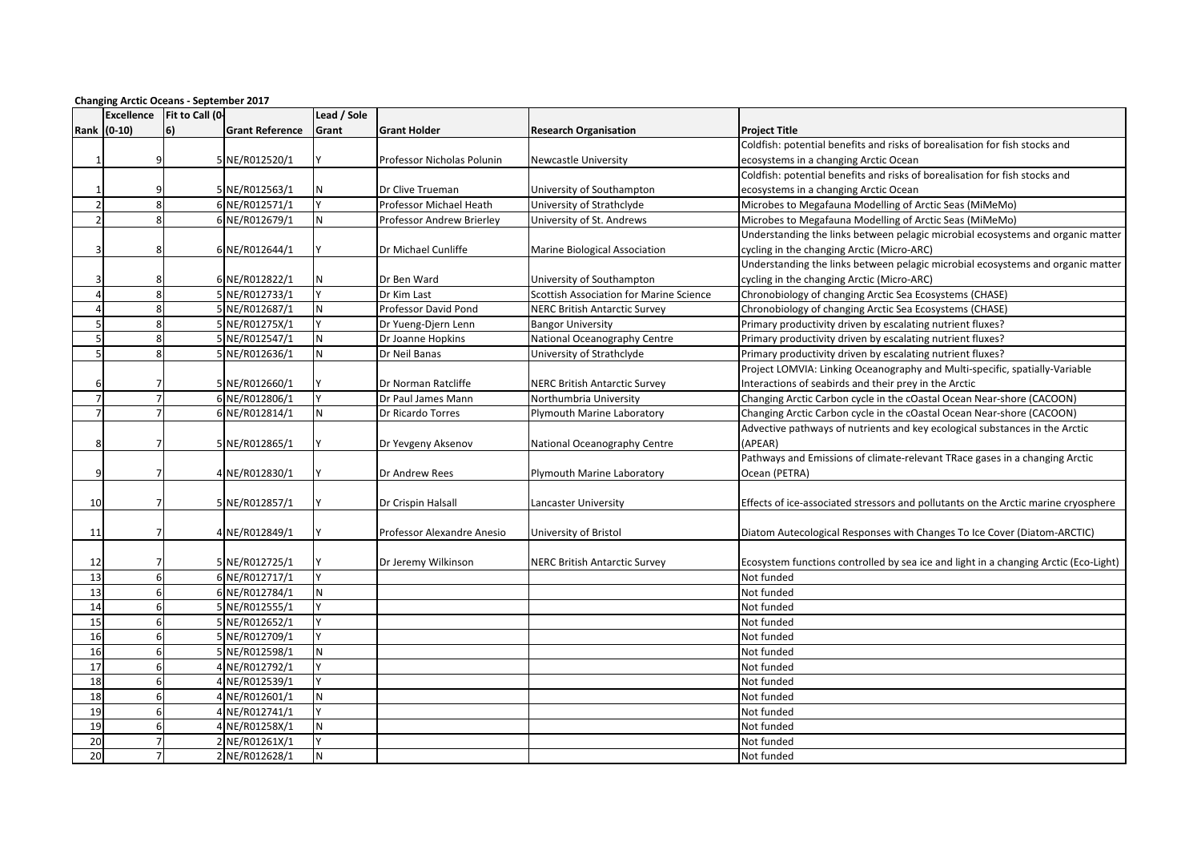| <b>Changing Arctic Oceans - September 2017</b> |                   |                 |                        |             |                            |                                                |                                                                                      |  |  |  |
|------------------------------------------------|-------------------|-----------------|------------------------|-------------|----------------------------|------------------------------------------------|--------------------------------------------------------------------------------------|--|--|--|
|                                                | <b>Excellence</b> | Fit to Call (0- |                        | Lead / Sole |                            |                                                |                                                                                      |  |  |  |
|                                                | Rank (0-10)       | 6)              | <b>Grant Reference</b> | Grant       | <b>Grant Holder</b>        | <b>Research Organisation</b>                   | <b>Project Title</b>                                                                 |  |  |  |
|                                                |                   |                 |                        |             |                            |                                                | Coldfish: potential benefits and risks of borealisation for fish stocks and          |  |  |  |
|                                                | 9                 |                 | 5 NE/R012520/1         |             | Professor Nicholas Polunin | <b>Newcastle University</b>                    | ecosystems in a changing Arctic Ocean                                                |  |  |  |
|                                                |                   |                 |                        |             |                            |                                                | Coldfish: potential benefits and risks of borealisation for fish stocks and          |  |  |  |
|                                                |                   |                 | 5 NE/R012563/1         |             | Dr Clive Trueman           | University of Southampton                      | ecosystems in a changing Arctic Ocean                                                |  |  |  |
| $\overline{ }$                                 | 8                 |                 | 6 NE/R012571/1         |             | Professor Michael Heath    | University of Strathclyde                      | Microbes to Megafauna Modelling of Arctic Seas (MiMeMo)                              |  |  |  |
| $\mathfrak{p}$                                 | 8                 |                 | 6 NE/R012679/1         | N           | Professor Andrew Brierley  | University of St. Andrews                      | Microbes to Megafauna Modelling of Arctic Seas (MiMeMo)                              |  |  |  |
|                                                |                   |                 |                        |             |                            |                                                | Understanding the links between pelagic microbial ecosystems and organic matter      |  |  |  |
|                                                | 8                 |                 | 6 NE/R012644/1         |             | Dr Michael Cunliffe        | Marine Biological Association                  | cycling in the changing Arctic (Micro-ARC)                                           |  |  |  |
|                                                |                   |                 |                        |             |                            |                                                | Understanding the links between pelagic microbial ecosystems and organic matter      |  |  |  |
|                                                | 8                 |                 | 6 NE/R012822/1         |             | Dr Ben Ward                | University of Southampton                      | cycling in the changing Arctic (Micro-ARC)                                           |  |  |  |
| $\mathbf{A}$                                   | 8                 |                 | 5 NE/R012733/1         |             | Dr Kim Last                | <b>Scottish Association for Marine Science</b> | Chronobiology of changing Arctic Sea Ecosystems (CHASE)                              |  |  |  |
| 4                                              | 8                 |                 | 5 NE/R012687/1         | N           | Professor David Pond       | <b>NERC British Antarctic Survey</b>           | Chronobiology of changing Arctic Sea Ecosystems (CHASE)                              |  |  |  |
| 5                                              | 8                 |                 | 5 NE/R01275X/1         |             | Dr Yueng-Djern Lenn        | <b>Bangor University</b>                       | Primary productivity driven by escalating nutrient fluxes?                           |  |  |  |
| 5                                              | 8                 |                 | 5 NE/R012547/1         | ${\sf N}$   | Dr Joanne Hopkins          | National Oceanography Centre                   | Primary productivity driven by escalating nutrient fluxes?                           |  |  |  |
| 5                                              | 8                 |                 | 5 NE/R012636/1         | N           | Dr Neil Banas              | University of Strathclyde                      | Primary productivity driven by escalating nutrient fluxes?                           |  |  |  |
|                                                |                   |                 |                        |             |                            |                                                | Project LOMVIA: Linking Oceanography and Multi-specific, spatially-Variable          |  |  |  |
|                                                |                   |                 | 5 NE/R012660/1         |             | Dr Norman Ratcliffe        | <b>NERC British Antarctic Survey</b>           | Interactions of seabirds and their prey in the Arctic                                |  |  |  |
| $\overline{7}$                                 | $\overline{7}$    |                 | 6 NE/R012806/1         |             | Dr Paul James Mann         | Northumbria University                         | Changing Arctic Carbon cycle in the cOastal Ocean Near-shore (CACOON)                |  |  |  |
| 7                                              | $\overline{7}$    |                 | 6 NE/R012814/1         | N           | Dr Ricardo Torres          | Plymouth Marine Laboratory                     | Changing Arctic Carbon cycle in the cOastal Ocean Near-shore (CACOON)                |  |  |  |
|                                                |                   |                 |                        |             |                            |                                                | Advective pathways of nutrients and key ecological substances in the Arctic          |  |  |  |
|                                                | 7                 |                 | 5 NE/R012865/1         |             | Dr Yevgeny Aksenov         | National Oceanography Centre                   | (APEAR)                                                                              |  |  |  |
|                                                |                   |                 |                        |             |                            |                                                | Pathways and Emissions of climate-relevant TRace gases in a changing Arctic          |  |  |  |
| q                                              | 7                 |                 | 4 NE/R012830/1         |             | Dr Andrew Rees             | Plymouth Marine Laboratory                     | Ocean (PETRA)                                                                        |  |  |  |
|                                                |                   |                 |                        |             |                            |                                                |                                                                                      |  |  |  |
| 10                                             | $\overline{7}$    |                 | 5 NE/R012857/1         |             | Dr Crispin Halsall         | Lancaster University                           | Effects of ice-associated stressors and pollutants on the Arctic marine cryosphere   |  |  |  |
|                                                |                   |                 |                        |             |                            |                                                |                                                                                      |  |  |  |
| 11                                             | 7                 |                 | 4 NE/R012849/1         |             | Professor Alexandre Anesio | University of Bristol                          | Diatom Autecological Responses with Changes To Ice Cover (Diatom-ARCTIC)             |  |  |  |
|                                                |                   |                 |                        |             |                            |                                                |                                                                                      |  |  |  |
| 12                                             |                   |                 | 5 NE/R012725/1         |             | Dr Jeremy Wilkinson        | <b>NERC British Antarctic Survey</b>           | Ecosystem functions controlled by sea ice and light in a changing Arctic (Eco-Light) |  |  |  |
| 13                                             | 6                 |                 | 6 NE/R012717/1         |             |                            |                                                | Not funded                                                                           |  |  |  |
| 13                                             | 6                 |                 | 6 NE/R012784/1         | N           |                            |                                                | Not funded                                                                           |  |  |  |
| 14                                             | 6                 |                 | 5 NE/R012555/1         | $\mathbf v$ |                            |                                                | Not funded                                                                           |  |  |  |
| 15                                             | $6 \overline{6}$  |                 | 5 NE/R012652/1         |             |                            |                                                | Not funded                                                                           |  |  |  |
| 16                                             | 6                 |                 | 5 NE/R012709/1         |             |                            |                                                | Not funded                                                                           |  |  |  |
| 16                                             | 6                 |                 | 5 NE/R012598/1         | N           |                            |                                                | Not funded                                                                           |  |  |  |
| 17                                             | 6                 |                 | 4 NE/R012792/1         |             |                            |                                                | Not funded                                                                           |  |  |  |
| 18                                             | 6                 |                 | 4 NE/R012539/1         |             |                            |                                                | Not funded                                                                           |  |  |  |
| 18                                             | 6                 |                 | 4 NE/R012601/1         | N           |                            |                                                | Not funded                                                                           |  |  |  |
| 19                                             | 6                 |                 | 4 NE/R012741/1         |             |                            |                                                | Not funded                                                                           |  |  |  |
| 19                                             | 6                 |                 | 4 NE/R01258X/1         | N           |                            |                                                | Not funded                                                                           |  |  |  |
| 20                                             | $\overline{7}$    |                 | 2 NE/R01261X/1         |             |                            |                                                | Not funded                                                                           |  |  |  |
| 20                                             | $7 \overline{ }$  |                 | 2 NE/R012628/1         | N           |                            |                                                | Not funded                                                                           |  |  |  |